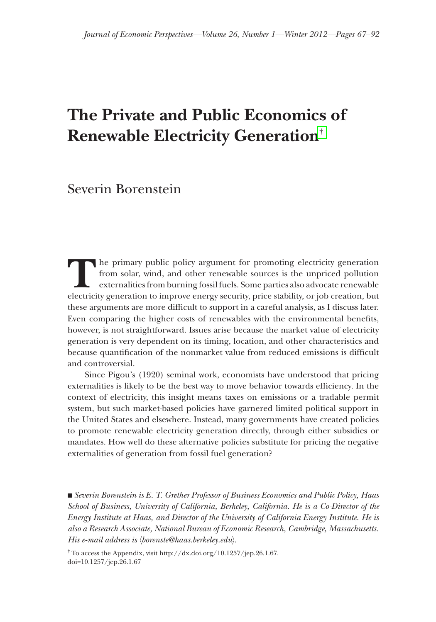# **The Private and Public Economics of Renewable Electricity Generation**†

Severin Borenstein

The primary public policy argument for promoting electricity generation from solar, wind, and other renewable sources is the unpriced pollution externalities from burning fossil fuels. Some parties also advocate renewable from solar, wind, and other renewable sources is the unpriced pollution externalities from burning fossil fuels. Some parties also advocate renewable electricity generation to improve energy security, price stability, or job creation, but these arguments are more difficult to support in a careful analysis, as I discuss later. Even comparing the higher costs of renewables with the environmental benefits, however, is not straightforward. Issues arise because the market value of electricity generation is very dependent on its timing, location, and other characteristics and because quantification of the nonmarket value from reduced emissions is difficult and controversial.

Since Pigou's (1920) seminal work, economists have understood that pricing externalities is likely to be the best way to move behavior towards efficiency. In the context of electricity, this insight means taxes on emissions or a tradable permit system, but such market-based policies have garnered limited political support in the United States and elsewhere. Instead, many governments have created policies to promote renewable electricity generation directly, through either subsidies or mandates. How well do these alternative policies substitute for pricing the negative externalities of generation from fossil fuel generation?

■ *Severin Borenstein is E. T. Grether Professor of Business Economics and Public Policy, Haas School of Business, University of California, Berkeley, California. He is a Co-Director of the Energy Institute at Haas, and Director of the University of California Energy Institute. He is also a Research Associate, National Bureau of Economic Research, Cambridge, Massachusetts. Bureau of Economic His e-mail address is*  $\langle$ *borenste@haas.berkeley.edu* $\rangle$ *.* 

<sup>†</sup> To access the Appendix, visit [http://dx.doi.org/10.1257/jep.26.1.67.](http://dx.doi.org/10.1257/jep.26.1.67) [doi=10.1257/jep.26.1.67](http://doi=10.1257/jep.26.1.67)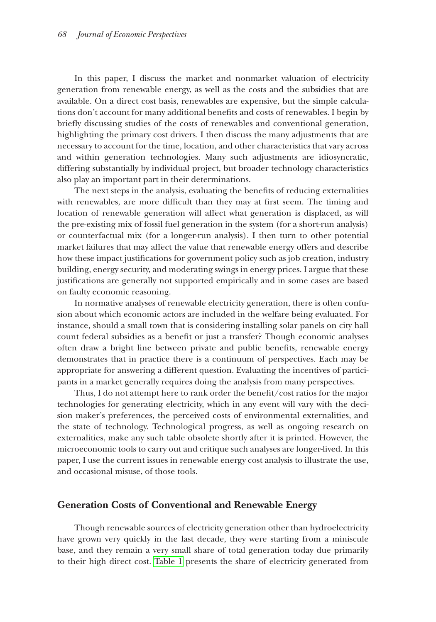In this paper, I discuss the market and nonmarket valuation of electricity generation from renewable energy, as well as the costs and the subsidies that are available. On a direct cost basis, renewables are expensive, but the simple calculations don't account for many additional benefits and costs of renewables. I begin by briefly discussing studies of the costs of renewables and conventional generation, highlighting the primary cost drivers. I then discuss the many adjustments that are necessary to account for the time, location, and other characteristics that vary across and within generation technologies. Many such adjustments are idiosyncratic, differing substantially by individual project, but broader technology characteristics also play an important part in their determinations.

The next steps in the analysis, evaluating the benefits of reducing externalities with renewables, are more difficult than they may at first seem. The timing and location of renewable generation will affect what generation is displaced, as will the pre-existing mix of fossil fuel generation in the system (for a short-run analysis) or counterfactual mix (for a longer-run analysis). I then turn to other potential market failures that may affect the value that renewable energy offers and describe how these impact justifications for government policy such as job creation, industry building, energy security, and moderating swings in energy prices. I argue that these justifications are generally not supported empirically and in some cases are based on faulty economic reasoning.

In normative analyses of renewable electricity generation, there is often confu- confusion about which economic actors are included in the welfare being evaluated. For instance, should a small town that is considering installing solar panels on city hall count federal subsidies as a benefit or just a transfer? Though economic analyses often draw a bright line between private and public benefits, renewable energy demonstrates that in practice there is a continuum of perspectives. Each may be appropriate for answering a different question. Evaluating the incentives of partici- participants in a market generally requires doing the analysis from many perspectives.

Thus, I do not attempt here to rank order the benefit/cost ratios for the major technologies for generating electricity, which in any event will vary with the decision maker's preferences, the perceived costs of environmental externalities, and the state of technology. Technological progress, as well as ongoing research on externalities, make any such table obsolete shortly after it is printed. However, the microeconomic tools to carry out and critique such analyses are longer-lived. In this In paper, I use the current issues in renewable energy cost analysis to illustrate the use, and occasional misuse, of those tools.

## **Generation Costs of Conventional and Renewable Energy**

Though renewable sources of electricity generation other than hydroelectricity have grown very quickly in the last decade, they were starting from a miniscule base, and they remain a very small share of total generation today due primarily to their high direct cost. [Table 1](#page-2-0) presents the share of electricity generated from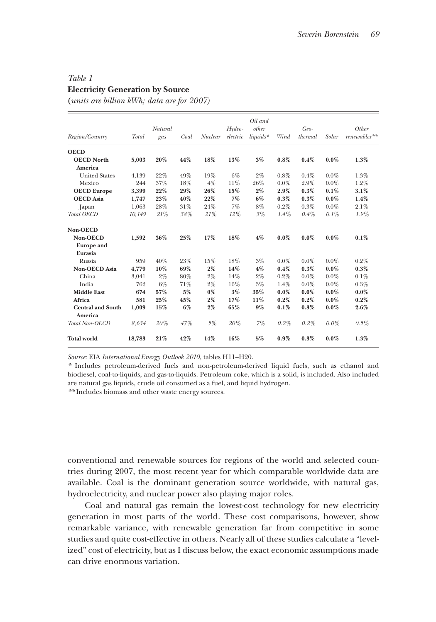# <span id="page-2-0"></span>*Table 1* **Electricity Generation by Source**

**(***units are billion kWh; data are for 2007)*

| Region/Country           | <b>Total</b> | Natural<br>gas | Coal | <b>Nuclear</b> | Hydro-<br>electric | Oil and<br>other<br>liquids* | Wind    | Geo-<br>thermal | Solar   | Other<br>$renewables**$ |
|--------------------------|--------------|----------------|------|----------------|--------------------|------------------------------|---------|-----------------|---------|-------------------------|
| <b>OECD</b>              |              |                |      |                |                    |                              |         |                 |         |                         |
| <b>OECD North</b>        | 5,003        | 20%            | 44%  | 18%            | 13%                | 3%                           | 0.8%    | 0.4%            | $0.0\%$ | 1.3%                    |
| America                  |              |                |      |                |                    |                              |         |                 |         |                         |
| <b>United States</b>     | 4,139        | 22%            | 49%  | 19%            | 6%                 | $2\%$                        | $0.8\%$ | 0.4%            | $0.0\%$ | 1.3%                    |
| Mexico                   | 244          | 37%            | 18%  | 4%             | 11%                | 26%                          | $0.0\%$ | 2.9%            | $0.0\%$ | 1.2%                    |
| <b>OECD</b> Europe       | 3,399        | 22%            | 29%  | 26%            | 15%                | $2\%$                        | 2.9%    | 0.3%            | $0.1\%$ | 3.1%                    |
| <b>OECD</b> Asia         | 1,747        | 23%            | 40%  | 22%            | 7%                 | $6\%$                        | 0.3%    | 0.3%            | $0.0\%$ | 1.4%                    |
| Japan                    | 1,063        | 28%            | 31%  | 24%            | 7%                 | 8%                           | $0.2\%$ | 0.3%            | $0.0\%$ | 2.1%                    |
| <b>Total OECD</b>        | 10,149       | 21%            | 38%  | 21%            | 12%                | 3%                           | $1.4\%$ | $0.4\%$         | $0.1\%$ | 1.9%                    |
| Non-OECD                 |              |                |      |                |                    |                              |         |                 |         |                         |
| Non-OECD                 | 1,592        | 36%            | 25%  | 17%            | 18%                | $4\%$                        | $0.0\%$ | $0.0\%$         | $0.0\%$ | $0.1\%$                 |
| <b>Europe</b> and        |              |                |      |                |                    |                              |         |                 |         |                         |
| Eurasia                  |              |                |      |                |                    |                              |         |                 |         |                         |
| Russia                   | 959          | 40%            | 23%  | 15%            | 18%                | 3%                           | $0.0\%$ | $0.0\%$         | $0.0\%$ | $0.2\%$                 |
| <b>Non-OECD Asia</b>     | 4,779        | 10%            | 69%  | $2\%$          | 14%                | $4\%$                        | 0.4%    | 0.3%            | $0.0\%$ | $0.3\%$                 |
| China                    | 3,041        | 2%             | 80%  | $2\%$          | 14%                | $2\%$                        | $0.2\%$ | $0.0\%$         | $0.0\%$ | $0.1\%$                 |
| India                    | 762          | 6%             | 71%  | $2\%$          | 16%                | 3%                           | 1.4%    | $0.0\%$         | $0.0\%$ | 0.3%                    |
| <b>Middle East</b>       | 674          | 57%            | 5%   | $0\%$          | 3%                 | 35%                          | $0.0\%$ | $0.0\%$         | $0.0\%$ | $0.0\%$                 |
| Africa                   | 581          | 25%            | 45%  | $2\%$          | 17%                | 11%                          | 0.2%    | 0.2%            | $0.0\%$ | $0.2\%$                 |
| <b>Central and South</b> | 1,009        | 15%            | 6%   | $2\%$          | 65%                | 9%                           | 0.1%    | 0.3%            | $0.0\%$ | $2.6\%$                 |
| America                  |              |                |      |                |                    |                              |         |                 |         |                         |
| <b>Total Non-OECD</b>    | 8,634        | 20%            | 47%  | 5%             | 20%                | 7%                           | $0.2\%$ | $0.2\%$         | $0.0\%$ | $0.5\%$                 |
| <b>Total world</b>       | 18,783       | 21%            | 42%  | 14%            | 16%                | 5%                           | $0.9\%$ | 0.3%            | $0.0\%$ | 1.3%                    |

*Source:* EIA *International Energy Outlook 2010*, tables H11–H20.

*\** Includes petroleum‐derived fuels and non‐petroleum‐derived liquid fuels, such as ethanol and biodiesel, coal‐to‐liquids, and gas‐to‐liquids. Petroleum coke, which is a solid, is included. Also included are natural gas liquids, crude oil consumed as a fuel, and liquid hydrogen.

*\*\** Includes biomass and other waste energy sources.

conventional and renewable sources for regions of the world and selected countries during 2007, the most recent year for which comparable worldwide data are available. Coal is the dominant generation source worldwide, with natural gas, hydroelectricity, and nuclear power also playing major roles.

Coal and natural gas remain the lowest-cost technology for new electricity generation in most parts of the world. These cost comparisons, however, show remarkable variance, with renewable generation far from competitive in some studies and quite cost-effective in others. Nearly all of these studies calculate a "levelized" cost of electricity, but as I discuss below, the exact economic assumptions made can drive enormous variation.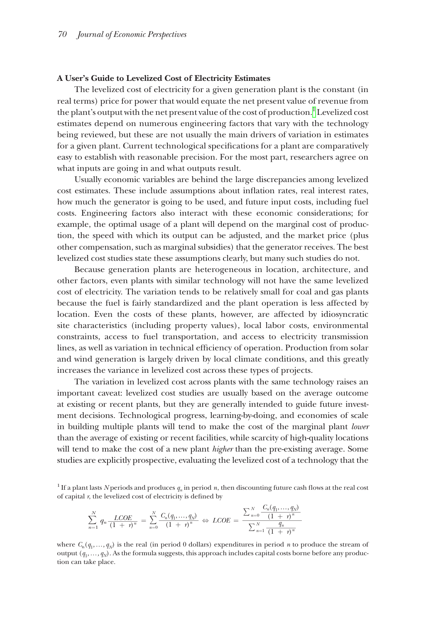#### **A User's Guide to Levelized Cost of Electricity Estimates**

The levelized cost of electricity for a given generation plant is the constant (in real terms) price for power that would equate the net present value of revenue from the plant's output with the net present value of the cost of production. $^{\rm 1}$  Levelized cost estimates depend on numerous engineering factors that vary with the technology being reviewed, but these are not usually the main drivers of variation in estimates for a given plant. Current technological specifications for a plant are comparatively easy to establish with reasonable precision. For the most part, researchers agree on what inputs are going in and what outputs result.

Usually economic variables are behind the large discrepancies among levelized cost estimates. These include assumptions about inflation rates, real interest rates, how much the generator is going to be used, and future input costs, including fuel costs. Engineering factors also interact with these economic considerations; for example, the optimal usage of a plant will depend on the marginal cost of production, the speed with which its output can be adjusted, and the market price (plus other compensation, such as marginal subsidies) that the generator receives. The best The levelized cost studies state these assumptions clearly, but many such studies do not.

Because generation plants are heterogeneous in location, architecture, and other factors, even plants with similar technology will not have the same levelized have cost of electricity. The variation tends to be relatively small for coal and gas plants because the fuel is fairly standardized and the plant operation is less affected by location. Even the costs of these plants, however, are affected by idiosyncratic site characteristics (including property values), local labor costs, environmental constraints, access to fuel transportation, and access to electricity transmission lines, as well as variation in technical efficiency of operation. Production from solar and wind generation is largely driven by local climate conditions, and this greatly increases the variance in levelized cost across these types of projects.

The variation in levelized cost across plants with the same technology raises an important caveat: levelized cost studies are usually based on the average outcome at existing or recent plants, but they are generally intended to guide future investment decisions. Technological progress, learning-by-doing, and economies of scale in building multiple plants will tend to make the cost of the marginal plant *lower* than the average of existing or recent facilities, while scarcity of high-quality locations will tend to make the cost of a new plant *higher* than the pre-existing average. Some studies are explicitly prospective, evaluating the levelized cost of a technology that the

<span id="page-3-0"></span>of capital  $r$ , the levelized cost of electricity is defined by

Studies at **Example 2.1** EVALUATE: The probability probability function 
$$
q_n
$$
 is the probability function  $q_n$  is the probability function  $q_n$  is the probability function  $q_n$  is the probability function  $q_n$  is the probability function  $q_n$  is the probability function  $\sum_{n=1}^{N} q_n \frac{LCOE}{(1 + \tau)^n} = \sum_{n=0}^{N} \frac{C_n(q_1, \ldots, q_N)}{(1 + \tau)^n} \Leftrightarrow LCOE = \frac{\sum_{n=0}^{N} \frac{C_n(q_1, \ldots, q_N)}{(1 + \tau)^n}}{\sum_{n=1}^{N} \frac{q_n}{(1 + \tau)^n}}$ .

where  $C_n(q_1,\ldots,q_N)$  is the real (in period 0 dollars) expenditures in period *n* to produce the stream of output  $(q_1, \ldots, q_N)$ . As the formula suggests, this approach includes capital costs borne before any production can take place.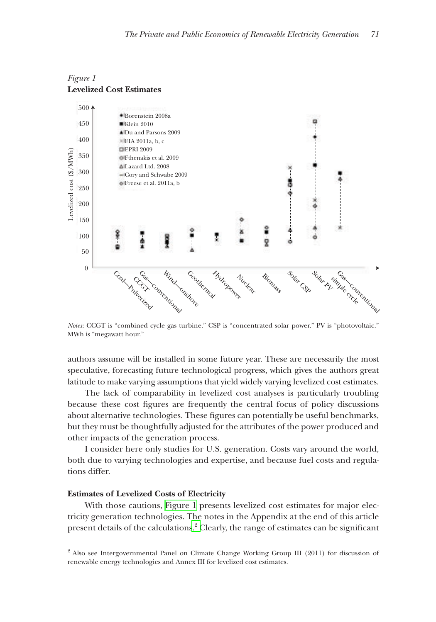

# <span id="page-4-0"></span>*Figure 1* **Levelized Cost Estimates**

*Notes:* CCGT is "combined cycle gas turbine." CSP is "concentrated solar power." PV is "photovoltaic." MWh is "megawatt hour."

authors assume will be installed in some future year. These are necessarily the most speculative, forecasting future technological progress, which gives the authors great latitude to make varying assumptions that yield widely varying levelized cost estimates.

The lack of comparability in levelized cost analyses is particularly troubling because these cost figures are frequently the central focus of policy discussions about alternative technologies. These figures can potentially be useful benchmarks, but they must be thoughtfully adjusted for the attributes of the power produced and other impacts of the generation process.

I consider here only studies for U.S. generation. Costs vary around the world, both due to varying technologies and expertise, and because fuel costs and regulations differ.

## **Estimates of Levelized Costs of Electricity**

With those cautions, [Figure 1](#page-4-0) presents levelized cost estimates for major electricity generation technologies. The notes in the Appendix at the end of this article present details of the calculations.<sup>2</sup> Clearly, the range of estimates can be significant

<sup>2</sup> Also see Intergovernmental Panel on Climate Change Working Group III (2011) for discussion of renewable energy technologies and Annex III for levelized cost estimates.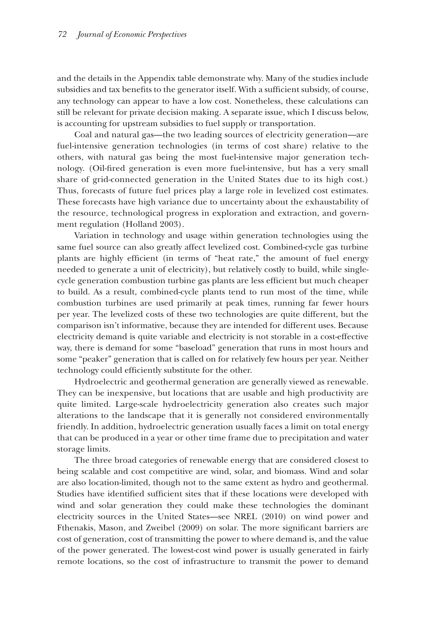and the details in the Appendix table demonstrate why. Many of the studies include subsidies and tax benefits to the generator itself. With a sufficient subsidy, of course, any technology can appear to have a low cost. Nonetheless, these calculations can still be relevant for private decision making. A separate issue, which I discuss below, is accounting for upstream subsidies to fuel supply or transportation.

Coal and natural gas—the two leading sources of electricity generation—are fuel-intensive generation technologies (in terms of cost share) relative to the others, with natural gas being the most fuel-intensive major generation tech- technology. (Oil-fired generation is even more fuel-intensive, but has a very small share of grid-connected generation in the United States due to its high cost.) Thus, forecasts of future fuel prices play a large role in levelized cost estimates. These forecasts have high variance due to uncertainty about the exhaustability of the resource, technological progress in exploration and extraction, and government regulation (Holland 2003).

Variation in technology and usage within generation technologies using the same fuel source can also greatly affect levelized cost. Combined-cycle gas turbine plants are highly efficient (in terms of "heat rate," the amount of fuel energy needed to generate a unit of electricity), but relatively costly to build, while singlecycle generation combustion turbine gas plants are less efficient but much cheaper to build. As a result, combined-cycle plants tend to run most of the time, while combustion turbines are used primarily at peak times, running far fewer hours per year. The levelized costs of these two technologies are quite different, but the comparison isn't informative, because they are intended for different uses. Because electricity demand is quite variable and electricity is not storable in a cost-effective way, there is demand for some "baseload" generation that runs in most hours and some "peaker" generation that is called on for relatively few hours per year. Neither technology could efficiently substitute for the other.

Hydroelectric and geothermal generation are generally viewed as renewable. They can be inexpensive, but locations that are usable and high productivity are quite limited. Large-scale hydroelectricity generation also creates such major alterations to the landscape that it is generally not considered environmentally friendly. In addition, hydroelectric generation usually faces a limit on total energy that can be produced in a year or other time frame due to precipitation and water storage limits.

The three broad categories of renewable energy that are considered closest to being scalable and cost competitive are wind, solar, and biomass. Wind and solar are also location-limited, though not to the same extent as hydro and geothermal. Studies have identified sufficient sites that if these locations were developed with wind and solar generation they could make these technologies the dominant electricity sources in the United States—see NREL (2010) on wind power and Fthenakis, Mason, and Zweibel (2009) on solar. The more significant barriers are cost of generation, cost of transmitting the power to where demand is, and the value of the power generated. The lowest-cost wind power is usually generated in fairly generated remote locations, so the cost of infrastructure to transmit the power to demand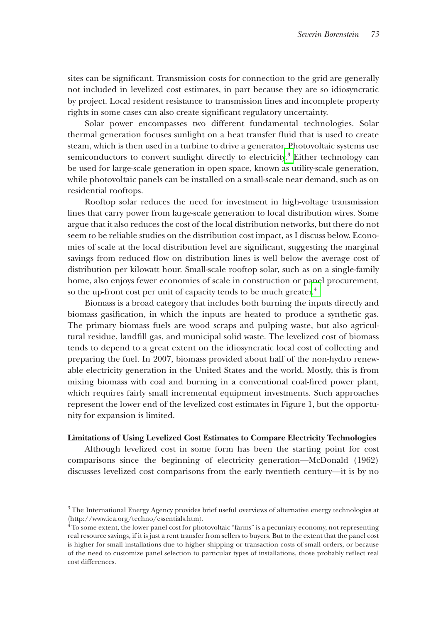sites can be significant. Transmission costs for connection to the grid are generally not included in levelized cost estimates, in part because they are so idiosyncratic by project. Local resident resistance to transmission lines and incomplete property rights in some cases can also create significant regulatory uncertainty.

Solar power encompasses two different fundamental technologies. Solar thermal generation focuses sunlight on a heat transfer fluid that is used to create steam, which is then used in a turbine to drive a generator. Photovoltaic systems use semiconductors to convert sunlight directly to electricity.<sup>3</sup> Either technology can be used for large-scale generation in open space, known as utility-scale generation, while photovoltaic panels can be installed on a small-scale near demand, such as on residential rooftops.

Rooftop solar reduces the need for investment in high-voltage transmission lines that carry power from large-scale generation to local distribution wires. Some argue that it also reduces the cost of the local distribution networks, but there do not seem to be reliable studies on the distribution cost impact, as I discuss below. Economies of scale at the local distribution level are significant, suggesting the marginal savings from reduced flow on distribution lines is well below the average cost of distribution per kilowatt hour. Small-scale rooftop solar, such as on a single-family home, also enjoys fewer economies of scale in construction or panel procurement, so the up-front cost per unit of capacity tends to be much greater.<sup>4</sup>

Biomass is a broad category that includes both burning the inputs directly and biomass gasification, in which the inputs are heated to produce a synthetic gas. The primary biomass fuels are wood scraps and pulping waste, but also agricultural residue, landfill gas, and municipal solid waste. The levelized cost of biomass tends to depend to a great extent on the idiosyncratic local cost of collecting and preparing the fuel. In 2007, biomass provided about half of the non-hydro renewable electricity generation in the United States and the world. Mostly, this is from mixing biomass with coal and burning in a conventional coal-fired power plant, which requires fairly small incremental equipment investments. Such approaches represent the lower end of the levelized cost estimates in Figure 1, but the opportunity for expansion is limited.

#### **Limitations of Using Levelized Cost Estimates to Compare Electricity Technologies**

Although levelized cost in some form has been the starting point for cost comparisons since the beginning of electricity generation—McDonald (1962) discusses levelized cost comparisons from the early twentieth century—it is by no

<sup>&</sup>lt;sup>3</sup> The International Energy Agency provides brief useful overviews of alternative energy technologies at 〈http://www.iea.org/techno/essentials.htm⟩. 4 To some extent, the lower panel cost for photovoltaic "farms" is a pecuniary economy, not representing

real resource savings, if it is just a rent transfer from sellers to buyers. But to the extent that the panel cost is higher for small installations due to higher shipping or transaction costs of small orders, or because of the need to customize panel selection to particular types of installations, those probably reflect real cost differences.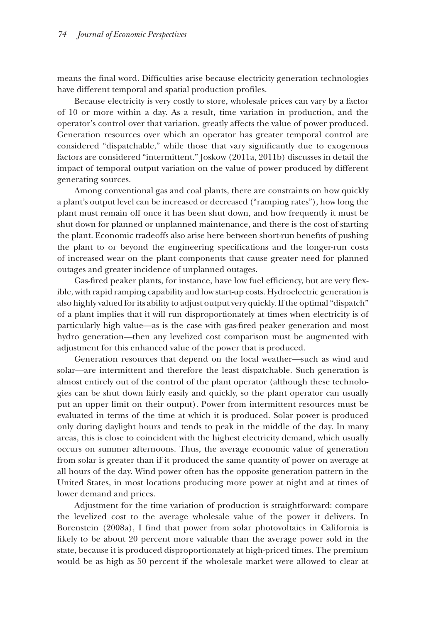means the final word. Difficulties arise because electricity generation technologies have different temporal and spatial production profiles.

Because electricity is very costly to store, wholesale prices can vary by a factor of  $10$  or more within a day. As a result, time variation in production, and the operator's control over that variation, greatly affects the value of power produced. Generation resources over which an operator has greater temporal control are considered "dispatchable," while those that vary significantly due to exogenous factors are considered "intermittent." Joskow (2011a, 2011b) discusses in detail the in impact of temporal output variation on the value of power produced by different generating sources.

Among conventional gas and coal plants, there are constraints on how quickly a plant's output level can be increased or decreased ("ramping rates"), how long the plant must remain off once it has been shut down, and how frequently it must be shut down for planned or unplanned maintenance, and there is the cost of starting the plant. Economic tradeoffs also arise here between short-run benefits of pushing the plant to or beyond the engineering specifications and the longer-run costs of increased wear on the plant components that cause greater need for planned outages and greater incidence of unplanned outages.

Gas-fired peaker plants, for instance, have low fuel efficiency, but are very flexible, with rapid ramping capability and low start-up costs. Hydroelectric generation is also highly valued for its ability to adjust output very quickly. If the optimal "dispatch" of a plant implies that it will run disproportionately at times when electricity is of particularly high value—as is the case with gas-fired peaker generation and most hydro generation—then any levelized cost comparison must be augmented with adjustment for this enhanced value of the power that is produced.

Generation resources that depend on the local weather—such as wind and solar—are intermittent and therefore the least dispatchable. Such generation is almost entirely out of the control of the plant operator (although these technologies can be shut down fairly easily and quickly, so the plant operator can usually put an upper limit on their output). Power from intermittent resources must be evaluated in terms of the time at which it is produced. Solar power is produced only during daylight hours and tends to peak in the middle of the day. In many areas, this is close to coincident with the highest electricity demand, which usually occurs on summer afternoons. Thus, the average economic value of generation from solar is greater than if it produced the same quantity of power on average at all hours of the day. Wind power often has the opposite generation pattern in the United States, in most locations producing more power at night and at times of lower demand and prices.

Adjustment for the time variation of production is straightforward: compare the levelized cost to the average wholesale value of the power it delivers. In Borenstein (2008a), I find that power from solar photovoltaics in California is likely to be about 20 percent more valuable than the average power sold in the state, because it is produced disproportionately at high-priced times. The premium would be as high as 50 percent if the wholesale market were allowed to clear at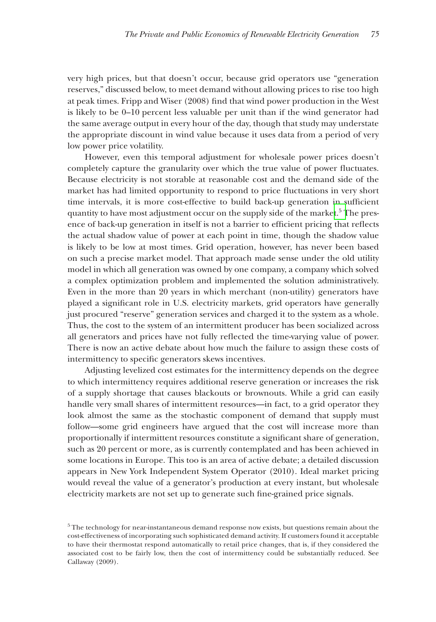very high prices, but that doesn't occur, because grid operators use "generation reserves," discussed below, to meet demand without allowing prices to rise too high below, at peak times. Fripp and Wiser (2008) find that wind power production in the West is likely to be 0–10 percent less valuable per unit than if the wind generator had the same average output in every hour of the day, though that study may understate the appropriate discount in wind value because it uses data from a period of very a low power price volatility.

However, even this temporal adjustment for wholesale power prices doesn't completely capture the granularity over which the true value of power fluctuates. Because electricity is not storable at reasonable cost and the demand side of the market has had limited opportunity to respond to price fluctuations in very short time intervals, it is more cost-effective to build back-up generation in sufficient quantity to have most adjustment occur on the supply side of the market. $^5$  The presence of back-up generation in itself is not a barrier to efficient pricing that reflects the actual shadow value of power at each point in time, though the shadow value is likely to be low at most times. Grid operation, however, has never been based on such a precise market model. That approach made sense under the old utility model in which all generation was owned by one company, a company which solved a complex optimization problem and implemented the solution administratively. Even in the more than 20 years in which merchant (non-utility) generators have played a significant role in U.S. electricity markets, grid operators have generally just procured "reserve" generation services and charged it to the system as a whole. Thus, the cost to the system of an intermittent producer has been socialized across all generators and prices have not fully reflected the time-varying value of power. There is now an active debate about how much the failure to assign these costs of intermittency to specific generators skews incentives.

Adjusting levelized cost estimates for the intermittency depends on the degree to which intermittency requires additional reserve generation or increases the risk of a supply shortage that causes blackouts or brownouts. While a grid can easily handle very small shares of intermittent resources—in fact, to a grid operator they look almost the same as the stochastic component of demand that supply must follow—some grid engineers have argued that the cost will increase more than proportionally if intermittent resources constitute a significant share of generation, such as 20 percent or more, as is currently contemplated and has been achieved in some locations in Europe. This too is an area of active debate; a detailed discussion appears in New York Independent System Operator (2010). Ideal market pricing would reveal the value of a generator's production at every instant, but wholesale electricity markets are not set up to generate such fine-grained price signals.

 $5$ The technology for near-instantaneous demand response now exists, but questions remain about the cost-effectiveness of incorporating such sophisticated demand activity. If customers found it acceptable to have their thermostat respond automatically to retail price changes, that is, if they considered the associated cost to be fairly low, then the cost of intermittency could be substantially reduced. See Callaway (2009).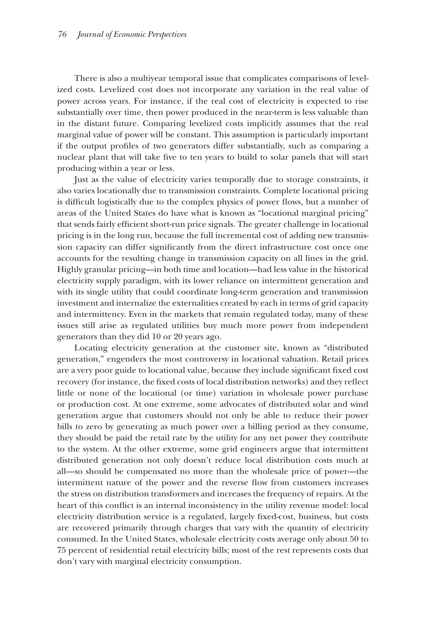There is also a multiyear temporal issue that complicates comparisons of levelized costs. Levelized cost does not incorporate any variation in the real value of power across years. For instance, if the real cost of electricity is expected to rise substantially over time, then power produced in the near-term is less valuable than in the distant future. Comparing levelized costs implicitly assumes that the real marginal value of power will be constant. This assumption is particularly important if the output profiles of two generators differ substantially, such as comparing a nuclear plant that will take five to ten years to build to solar panels that will start producing within a year or less.

Just as the value of electricity varies temporally due to storage constraints, it the also varies locationally due to transmission constraints. Complete locational pricing is difficult logistically due to the complex physics of power flows, but a number of areas of the United States do have what is known as "locational marginal pricing" that sends fairly efficient short-run price signals. The greater challenge in locational pricing is in the long run, because the full incremental cost of adding new transmission capacity can differ significantly from the direct infrastructure cost once one accounts for the resulting change in transmission capacity on all lines in the grid. Highly granular pricing—in both time and location—had less value in the historical electricity supply paradigm, with its lower reliance on intermittent generation and with its single utility that could coordinate long-term generation and transmission investment and internalize the externalities created by each in terms of grid capacity and intermittency. Even in the markets that remain regulated today, many of these issues still arise as regulated utilities buy much more power from independent generators than they did 10 or 20 years ago.

Locating electricity generation at the customer site, known as "distributed generation," engenders the most controversy in locational valuation. Retail prices are a very poor guide to locational value, because they include significant fixed cost recovery (for instance, the fixed costs of local distribution networks) and they reflect little or none of the locational (or time) variation in wholesale power purchase or production cost. At one extreme, some advocates of distributed solar and wind generation argue that customers should not only be able to reduce their power bills to zero by generating as much power over a billing period as they consume, they should be paid the retail rate by the utility for any net power they contribute to the system. At the other extreme, some grid engineers argue that intermittent distributed generation not only doesn't reduce local distribution costs much at all—so should be compensated no more than the wholesale price of power—the intermittent nature of the power and the reverse flow from customers increases the stress on distribution transformers and increases the frequency of repairs. At the heart of this conflict is an internal inconsistency in the utility revenue model: local electricity distribution service is a regulated, largely fixed-cost, business, but costs are recovered primarily through charges that vary with the quantity of electricity consumed. In the United States, wholesale electricity costs average only about 50 to 75 percent of residential retail electricity bills; most of the rest represents costs that don't vary with marginal electricity consumption.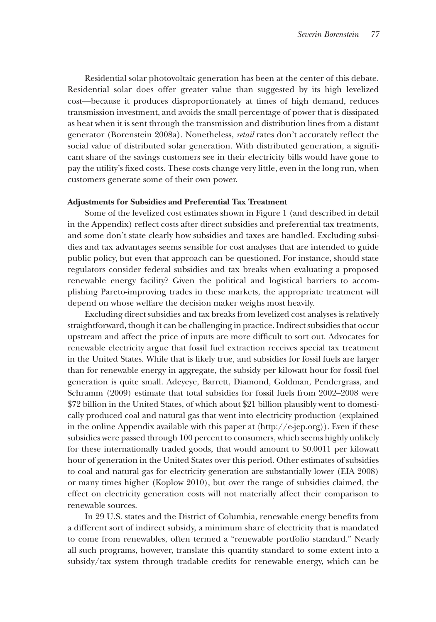Residential solar photovoltaic generation has been at the center of this debate. Residential solar does offer greater value than suggested by its high levelized cost—because it produces disproportionately at times of high demand, reduces transmission investment, and avoids the small percentage of power that is dissipated as heat when it is sent through the transmission and distribution lines from a distant generator (Borenstein 2008a). Nonetheless, *retail* rates don't accurately reflect the social value of distributed solar generation. With distributed generation, a significant share of the savings customers see in their electricity bills would have gone to pay the utility's fixed costs. These costs change very little, even in the long run, when customers generate some of their own power.

#### **Adjustments for Subsidies and Preferential Tax Treatment**

Some of the levelized cost estimates shown in Figure 1 (and described in detail in the Appendix) reflect costs after direct subsidies and preferential tax treatments, and some don't state clearly how subsidies and taxes are handled. Excluding subsidies and tax advantages seems sensible for cost analyses that are intended to guide public policy, but even that approach can be questioned. For instance, should state regulators consider federal subsidies and tax breaks when evaluating a proposed renewable energy facility? Given the political and logistical barriers to accomplishing Pareto-improving trades in these markets, the appropriate treatment will depend on whose welfare the decision maker weighs most heavily.

Excluding direct subsidies and tax breaks from levelized cost analyses is relatively straightforward, though it can be challenging in practice. Indirect subsidies that occur upstream and affect the price of inputs are more difficult to sort out. Advocates for renewable electricity argue that fossil fuel extraction receives special tax treatment in the United States. While that is likely true, and subsidies for fossil fuels are larger than for renewable energy in aggregate, the subsidy per kilowatt hour for fossil fuel generation is quite small. Adeyeye, Barrett, Diamond, Goldman, Pendergrass, and Schramm (2009) estimate that total subsidies for fossil fuels from 2002–2008 were \$72 billion in the United States, of which about \$21 billion plausibly went to domesti- domestically produced coal and natural gas that went into electricity production (explained in the online Appendix available with this paper at  $\langle$ <http://e-jep.org> $\rangle$ ). Even if these subsidies were passed through 100 percent to consumers, which seems highly unlikely for these internationally traded goods, that would amount to \$0.0011 per kilowatt hour of generation in the United States over this period. Other estimates of subsidies to coal and natural gas for electricity generation are substantially lower (EIA 2008) or many times higher (Koplow 2010), but over the range of subsidies claimed, the effect on electricity generation costs will not materially affect their comparison to renewable sources.

In 29 U.S. states and the District of Columbia, renewable energy benefits from a different sort of indirect subsidy, a minimum share of electricity that is mandated to come from renewables, often termed a "renewable portfolio standard." Nearly all such programs, however, translate this quantity standard to some extent into a subsidy/tax system through tradable credits for renewable energy, which can be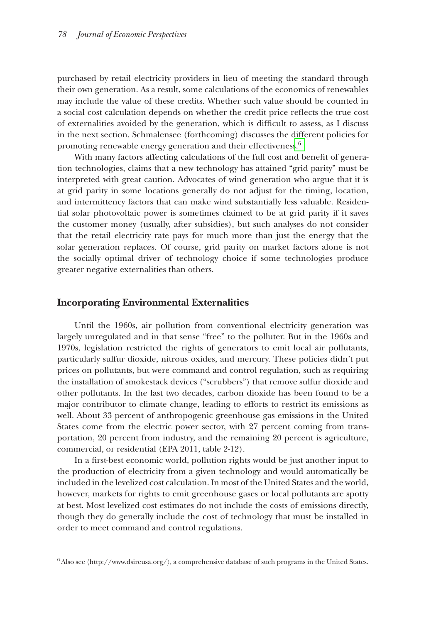purchased by retail electricity providers in lieu of meeting the standard through their own generation. As a result, some calculations of the economics of renewables generation. may include the value of these credits. Whether such value should be counted in a social cost calculation depends on whether the credit price reflects the true cost of externalities avoided by the generation, which is difficult to assess, as I discuss in the next section. Schmalensee (forthcoming) discusses the different policies for promoting renewable energy generation and their effectiveness.<sup>6</sup>

With many factors affecting calculations of the full cost and benefit of generation technologies, claims that a new technology has attained "grid parity" must be interpreted with great caution. Advocates of wind generation who argue that it is at grid parity in some locations generally do not adjust for the timing, location, and intermittency factors that can make wind substantially less valuable. Residential solar photovoltaic power is sometimes claimed to be at grid parity if it saves the customer money (usually, after subsidies), but such analyses do not consider that the retail electricity rate pays for much more than just the energy that the just solar generation replaces. Of course, grid parity on market factors alone is not the socially optimal driver of technology choice if some technologies produce greater negative externalities than others.

## **Incorporating Environmental Externalities**

Until the 1960s, air pollution from conventional electricity generation was largely unregulated and in that sense "free" to the polluter. But in the 1960s and 1970s, legislation restricted the rights of generators to emit local air pollutants, particularly sulfur dioxide, nitrous oxides, and mercury. These policies didn't put prices on pollutants, but were command and control regulation, such as requiring the installation of smokestack devices ("scrubbers") that remove sulfur dioxide and other pollutants. In the last two decades, carbon dioxide has been found to be a major contributor to climate change, leading to efforts to restrict its emissions as well. About 33 percent of anthropogenic greenhouse gas emissions in the United States come from the electric power sector, with 27 percent coming from transportation, 20 percent from industry, and the remaining 20 percent is agriculture, commercial, or residential (EPA 2011, table 2-12).

In a first-best economic world, pollution rights would be just another input to the production of electricity from a given technology and would automatically be included in the levelized cost calculation. In most of the United States and the world, however, markets for rights to emit greenhouse gases or local pollutants are spotty at best. Most levelized cost estimates do not include the costs of emissions directly, though they do generally include the cost of technology that must be installed in order to meet command and control regulations.

 $^6$  Also see  $\langle$ http://www.dsireusa.org/ $\rangle$ , a comprehensive database of such programs in the United States.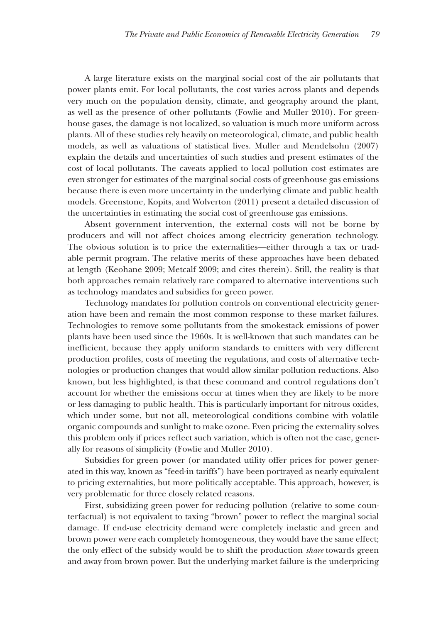A large literature exists on the marginal social cost of the air pollutants that power plants emit. For local pollutants, the cost varies across plants and depends very much on the population density, climate, and geography around the plant, as well as the presence of other pollutants (Fowlie and Muller 2010). For greenhouse gases, the damage is not localized, so valuation is much more uniform across plants. All of these studies rely heavily on meteorological, climate, and public health models, as well as valuations of statistical lives. Muller and Mendelsohn (2007) explain the details and uncertainties of such studies and present estimates of the cost of local pollutants. The caveats applied to local pollution cost estimates are even stronger for estimates of the marginal social costs of greenhouse gas emissions because there is even more uncertainty in the underlying climate and public health models. Greenstone, Kopits, and Wolverton (2011) present a detailed discussion of the uncertainties in estimating the social cost of greenhouse gas emissions.

Absent government intervention, the external costs will not be borne by producers and will not affect choices among electricity generation technology. The obvious solution is to price the externalities—either through a tax or tradable permit program. The relative merits of these approaches have been debated at length (Keohane 2009; Metcalf 2009; and cites therein). Still, the reality is that both approaches remain relatively rare compared to alternative interventions such as technology mandates and subsidies for green power.

Technology mandates for pollution controls on conventional electricity gener- generation have been and remain the most common response to these market failures. Technologies to remove some pollutants from the smokestack emissions of power plants have been used since the 1960s. It is well-known that such mandates can be inefficient, because they apply uniform standards to emitters with very different production profiles, costs of meeting the regulations, and costs of alternative technologies or production changes that would allow similar pollution reductions. Also known, but less highlighted, is that these command and control regulations don't account for whether the emissions occur at times when they are likely to be more or less damaging to public health. This is particularly important for nitrous oxides, which under some, but not all, meteorological conditions combine with volatile organic compounds and sunlight to make ozone. Even pricing the externality solves this problem only if prices reflect such variation, which is often not the case, generally for reasons of simplicity (Fowlie and Muller 2010).

Subsidies for green power (or mandated utility offer prices for power generated in this way, known as "feed-in tariffs") have been portrayed as nearly equivalent to pricing externalities, but more politically acceptable. This approach, however, is very problematic for three closely related reasons.

First, subsidizing green power for reducing pollution (relative to some counterfactual) is not equivalent to taxing "brown" power to reflect the marginal social damage. If end-use electricity demand were completely inelastic and green and brown power were each completely homogeneous, they would have the same effect; the only effect of the subsidy would be to shift the production *share* towards green and away from brown power. But the underlying market failure is the underpricing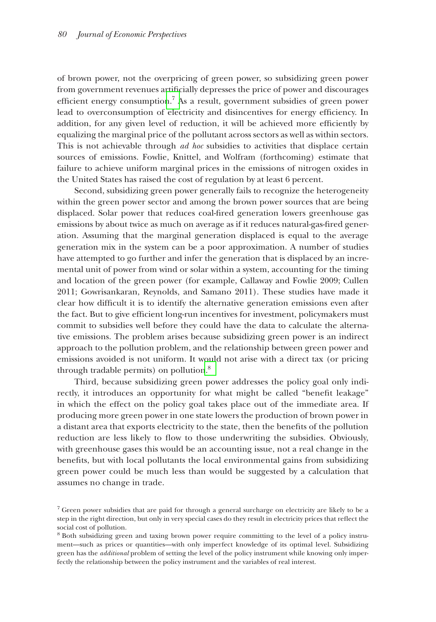of brown power, not the overpricing of green power, so subsidizing green power power, from government revenues artificially depresses the price of power and discourages efficient energy consumption.<sup>7</sup> As a result, government subsidies of green power lead to overconsumption of electricity and disincentives for energy efficiency. In addition, for any given level of reduction, it will be achieved more efficiently by equalizing the marginal price of the pollutant across sectors as well as within sectors. This is not achievable through *ad hoc* subsidies to activities that displace certain sources of emissions. Fowlie, Knittel, and Wolfram (forthcoming) estimate that failure to achieve uniform marginal prices in the emissions of nitrogen oxides in the United States has raised the cost of regulation by at least 6 percent.

Second, subsidizing green power generally fails to recognize the heterogeneity within the green power sector and among the brown power sources that are being displaced. Solar power that reduces coal-fired generation lowers greenhouse gas emissions by about twice as much on average as if it reduces natural-gas-fired generation. Assuming that the marginal generation displaced is equal to the average generation mix in the system can be a poor approximation. A number of studies have attempted to go further and infer the generation that is displaced by an incremental unit of power from wind or solar within a system, accounting for the timing and location of the green power (for example, Callaway and Fowlie 2009; Cullen 2011; Gowrisankaran, Reynolds, and Samano 2011). These studies have made it clear how difficult it is to identify the alternative generation emissions even after the fact. But to give efficient long-run incentives for investment, policymakers must commit to subsidies well before they could have the data to calculate the alternative emissions. The problem arises because subsidizing green power is an indirect approach to the pollution problem, and the relationship between green power and emissions avoided is not uniform. It would not arise with a direct tax (or pricing through tradable permits) on pollution.<sup>8</sup>

Third, because subsidizing green power addresses the policy goal only indirectly, it introduces an opportunity for what might be called "benefit leakage" in which the effect on the policy goal takes place out of the immediate area. If producing more green power in one state lowers the production of brown power in a distant area that exports electricity to the state, then the benefits of the pollution reduction are less likely to flow to those underwriting the subsidies. Obviously, with greenhouse gases this would be an accounting issue, not a real change in the benefits, but with local pollutants the local environmental gains from subsidizing green power could be much less than would be suggested by a calculation that be assumes no change in trade.

<sup>&</sup>lt;sup>7</sup> Green power subsidies that are paid for through a general surcharge on electricity are likely to be a step in the right direction, but only in very special cases do they result in electricity prices that reflect the social cost of pollution.

 <sup>8</sup> Both subsidizing green and taxing brown power require committing to the level of a policy instrument—such as prices or quantities—with only imperfect knowledge of its optimal level. Subsidizing green has the *additional* problem of setting the level of the policy instrument while knowing only imperfectly the relationship between the policy instrument and the variables of real interest.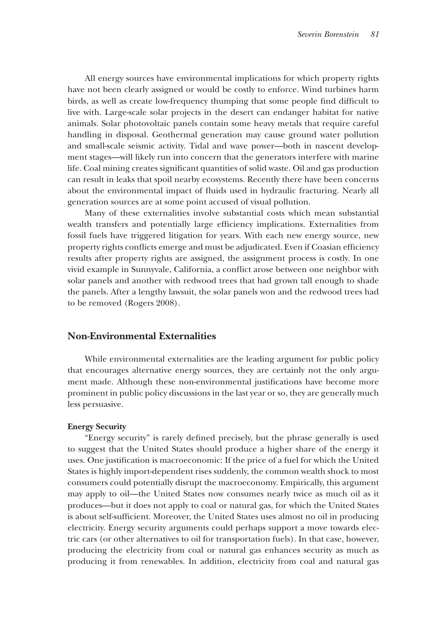All energy sources have environmental implications for which property rights have not been clearly assigned or would be costly to enforce. Wind turbines harm birds, as well as create low-frequency thumping that some people find difficult to live with. Large-scale solar projects in the desert can endanger habitat for native animals. Solar photovoltaic panels contain some heavy metals that require careful handling in disposal. Geothermal generation may cause ground water pollution and small-scale seismic activity. Tidal and wave power—both in nascent development stages—will likely run into concern that the generators interfere with marine life. Coal mining creates significant quantities of solid waste. Oil and gas production can result in leaks that spoil nearby ecosystems. Recently there have been concerns about the environmental impact of fluids used in hydraulic fracturing. Nearly all generation sources are at some point accused of visual pollution.

Many of these externalities involve substantial costs which mean substantial wealth transfers and potentially large efficiency implications. Externalities from fossil fuels have triggered litigation for years. With each new energy source, new property rights conflicts emerge and must be adjudicated. Even if Coasian efficiency results after property rights are assigned, the assignment process is costly. In one vivid example in Sunnyvale, California, a conflict arose between one neighbor with solar panels and another with redwood trees that had grown tall enough to shade the panels. After a lengthy lawsuit, the solar panels won and the redwood trees had to be removed (Rogers 2008).

## **Non-Environmental Externalities**

While environmental externalities are the leading argument for public policy that encourages alternative energy sources, they are certainly not the only argument made. Although these non-environmental justifications have become more prominent in public policy discussions in the last year or so, they are generally much in less persuasive.

## **Energy Security**

"Energy security" is rarely defined precisely, but the phrase generally is used to suggest that the United States should produce a higher share of the energy it uses. One justification is macroeconomic: If the price of a fuel for which the United States is highly import-dependent rises suddenly, the common wealth shock to most consumers could potentially disrupt the macroeconomy. Empirically, this argument may apply to oil—the United States now consumes nearly twice as much oil as it produces—but it does not apply to coal or natural gas, for which the United States is about self-sufficient. Moreover, the United States uses almost no oil in producing electricity. Energy security arguments could perhaps support a move towards electric cars (or other alternatives to oil for transportation fuels). In that case, however, to producing the electricity from coal or natural gas enhances security as much as producing it from renewables. In addition, electricity from coal and natural gas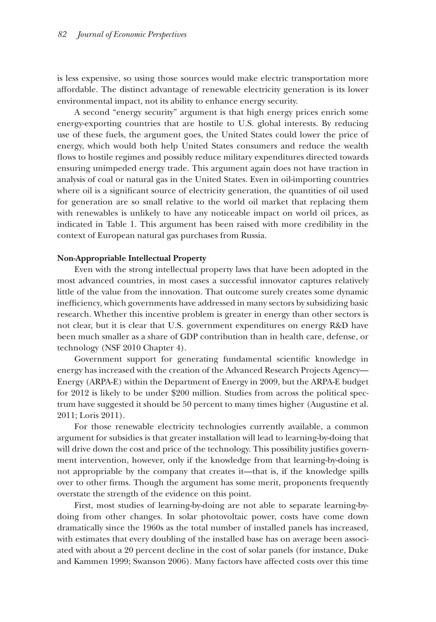is less expensive, so using those sources would make electric transportation more affordable. The distinct advantage of renewable electricity generation is its lower environmental impact, not its ability to enhance energy security.

A second "energy security" argument is that high energy prices enrich some energy-exporting countries that are hostile to U.S. global interests. By reducing use of these fuels, the argument goes, the United States could lower the price of energy, which would both help United States consumers and reduce the wealth flows to hostile regimes and possibly reduce military expenditures directed towards ensuring unimpeded energy trade. This argument again does not have traction in analysis of coal or natural gas in the United States. Even in oil-importing countries where oil is a significant source of electricity generation, the quantities of oil used for generation are so small relative to the world oil market that replacing them with renewables is unlikely to have any noticeable impact on world oil prices, as indicated in Table 1. This argument has been raised with more credibility in the context of European natural gas purchases from Russia.

#### **Non-Appropriable Intellectual Property**

Even with the strong intellectual property laws that have been adopted in the most advanced countries, in most cases a successful innovator captures relatively little of the value from the innovation. That outcome surely creates some dynamic inefficiency, which governments have addressed in many sectors by subsidizing basic research. Whether this incentive problem is greater in energy than other sectors is not clear, but it is clear that U.S. government expenditures on energy R&D have been much smaller as a share of GDP contribution than in health care, defense, or technology (NSF 2010 Chapter 4).

Government support for generating fundamental scientific knowledge in energy has increased with the creation of the Advanced Research Projects Agency— Energy (ARPA-E) within the Department of Energy in 2009, but the ARPA-E budget for 2012 is likely to be under  $$200$  million. Studies from across the political spectrum have suggested it should be 50 percent to many times higher (Augustine et al. 2011; Loris 2011).

For those renewable electricity technologies currently available, a common argument for subsidies is that greater installation will lead to learning-by-doing that will drive down the cost and price of the technology. This possibility justifies government intervention, however, only if the knowledge from that learning-by-doing is not appropriable by the company that creates it—that is, if the knowledge spills over to other firms. Though the argument has some merit, proponents frequently overstate the strength of the evidence on this point.

First, most studies of learning-by-doing are not able to separate learning-bydoing from other changes. In solar photovoltaic power, costs have come down dramatically since the 1960s as the total number of installed panels has increased, with estimates that every doubling of the installed base has on average been associated with about a 20 percent decline in the cost of solar panels (for instance, Duke and Kammen 1999; Swanson 2006). Many factors have affected costs over this time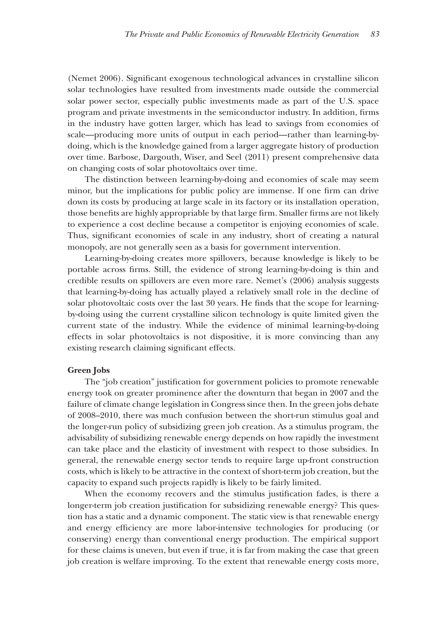(Nemet 2006). Significant exogenous technological advances in crystalline silicon solar technologies have resulted from investments made outside the commercial solar power sector, especially public investments made as part of the U.S. space program and private investments in the semiconductor industry. In addition, firms in the industry have gotten larger, which has lead to savings from economies of scale—producing more units of output in each period—rather than learning-bydoing, which is the knowledge gained from a larger aggregate history of production over time. Barbose, Dargouth, Wiser, and Seel (2011) present comprehensive data on changing costs of solar photovoltaics over time.

The distinction between learning-by-doing and economies of scale may seem minor, but the implications for public policy are immense. If one firm can drive down its costs by producing at large scale in its factory or its installation operation, those benefits are highly appropriable by that large firm. Smaller firms are not likely to experience a cost decline because a competitor is enjoying economies of scale. Thus, significant economies of scale in any industry, short of creating a natural monopoly, are not generally seen as a basis for government intervention.

Learning-by-doing creates more spillovers, because knowledge is likely to be portable across firms. Still, the evidence of strong learning-by-doing is thin and credible results on spillovers are even more rare. Nemet's (2006) analysis suggests that learning-by-doing has actually played a relatively small role in the decline of solar photovoltaic costs over the last 30 years. He finds that the scope for learningby-doing using the current crystalline silicon technology is quite limited given the current state of the industry. While the evidence of minimal learning-by-doing effects in solar photovoltaics is not dispositive, it is more convincing than any existing research claiming significant effects.

#### **Green Jobs**

The "job creation" justification for government policies to promote renewable energy took on greater prominence after the downturn that began in 2007 and the failure of climate change legislation in Congress since then. In the green jobs debate of 2008–2010, there was much confusion between the short-run stimulus goal and the longer-run policy of subsidizing green job creation. As a stimulus program, the advisability of subsidizing renewable energy depends on how rapidly the investment can take place and the elasticity of investment with respect to those subsidies. In general, the renewable energy sector tends to require large up-front construction costs, which is likely to be attractive in the context of short-term job creation, but the capacity to expand such projects rapidly is likely to be fairly limited.

When the economy recovers and the stimulus justification fades, is there a longer-term job creation justification for subsidizing renewable energy? This question has a static and a dynamic component. The static view is that renewable energy and energy efficiency are more labor-intensive technologies for producing (or conserving) energy than conventional energy production. The empirical support for these claims is uneven, but even if true, it is far from making the case that green job creation is welfare improving. To the extent that renewable energy costs more,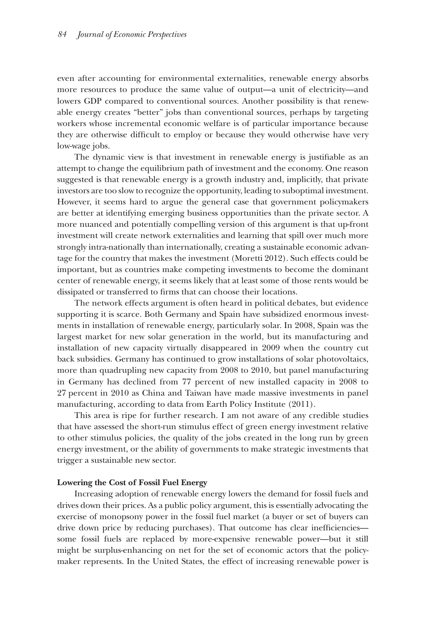even after accounting for environmental externalities, renewable energy absorbs more resources to produce the same value of output—a unit of electricity—and lowers GDP compared to conventional sources. Another possibility is that renewable energy creates "better" jobs than conventional sources, perhaps by targeting workers whose incremental economic welfare is of particular importance because they are otherwise difficult to employ or because they would otherwise have very low-wage jobs.

The dynamic view is that investment in renewable energy is justifiable as an attempt to change the equilibrium path of investment and the economy. One reason suggested is that renewable energy is a growth industry and, implicitly, that private investors are too slow to recognize the opportunity, leading to suboptimal investment. However, it seems hard to argue the general case that government policymakers are better at identifying emerging business opportunities than the private sector. A more nuanced and potentially compelling version of this argument is that up-front investment will create network externalities and learning that spill over much more strongly intra-nationally than internationally, creating a sustainable economic advantage for the country that makes the investment (Moretti 2012). Such effects could be important, but as countries make competing investments to become the dominant center of renewable energy, it seems likely that at least some of those rents would be dissipated or transferred to firms that can choose their locations.

The network effects argument is often heard in political debates, but evidence supporting it is scarce. Both Germany and Spain have subsidized enormous investments in installation of renewable energy, particularly solar. In 2008, Spain was the largest market for new solar generation in the world, but its manufacturing and installation of new capacity virtually disappeared in 2009 when the country cut back subsidies. Germany has continued to grow installations of solar photovoltaics, more than quadrupling new capacity from 2008 to 2010, but panel manufacturing in Germany has declined from 77 percent of new installed capacity in 2008 to 27 percent in 2010 as China and Taiwan have made massive investments in panel manufacturing, according to data from Earth Policy Institute (2011).

This area is ripe for further research. I am not aware of any credible studies that have assessed the short-run stimulus effect of green energy investment relative to other stimulus policies, the quality of the jobs created in the long run by green energy investment, or the ability of governments to make strategic investments that trigger a sustainable new sector.

#### **Lowering the Cost of Fossil Fuel Energy**

Increasing adoption of renewable energy lowers the demand for fossil fuels and drives down their prices. As a public policy argument, this is essentially advocating the exercise of monopsony power in the fossil fuel market (a buyer or set of buyers can drive down price by reducing purchases). That outcome has clear inefficiencies some fossil fuels are replaced by more-expensive renewable power—but it still might be surplus-enhancing on net for the set of economic actors that the policymaker represents. In the United States, the effect of increasing renewable power is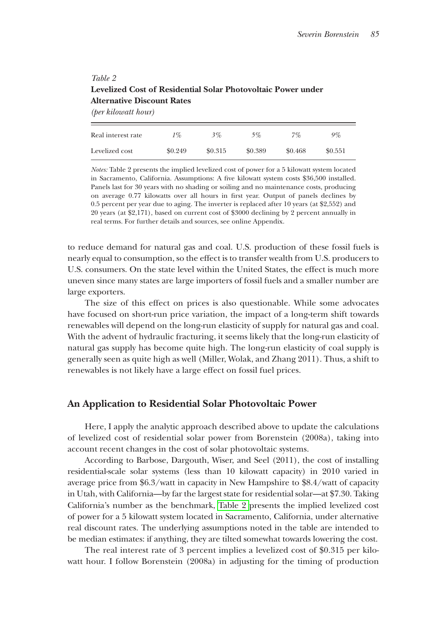# *Table 2* **Levelized Cost of Residential Solar Photovoltaic Power under Alternative Discount Rates**

*(per kilowatt hour)*

| Real interest rate | 1%      | 3%      | 5%      | 7%      | 9%      |
|--------------------|---------|---------|---------|---------|---------|
| Levelized cost     | \$0.249 | \$0.315 | \$0.389 | \$0.468 | \$0.551 |

*Notes:* Table 2 presents the implied levelized cost of power for a 5 kilowatt system located in Sacramento, California. Assumptions: A five kilowatt system costs \$36,500 installed. Panels last for 30 years with no shading or soiling and no maintenance costs, producing on average 0.77 kilowatts over all hours in first year. Output of panels declines by 0.5 percent per year due to aging. The inverter is replaced after 10 years (at \$2,552) and 20 years (at \$2,171), based on current cost of \$3000 declining by 2 percent annually in real terms. For further details and sources, see online Appendix.

to reduce demand for natural gas and coal. U.S. production of these fossil fuels is nearly equal to consumption, so the effect is to transfer wealth from U.S. producers to the U.S. consumers. On the state level within the United States, the effect is much more uneven since many states are large importers of fossil fuels and a smaller number are large exporters.

The size of this effect on prices is also questionable. While some advocates have focused on short-run price variation, the impact of a long-term shift towards renewables will depend on the long-run elasticity of supply for natural gas and coal. With the advent of hydraulic fracturing, it seems likely that the long-run elasticity of natural gas supply has become quite high. The long-run elasticity of coal supply is generally seen as quite high as well (Miller, Wolak, and Zhang 2011). Thus, a shift to renewables is not likely have a large effect on fossil fuel prices.

# **An Application to Residential Solar Photovoltaic Power**

Here, I apply the analytic approach described above to update the calculations of levelized cost of residential solar power from Borenstein (2008a), taking into account recent changes in the cost of solar photovoltaic systems.

According to Barbose, Dargouth, Wiser, and Seel (2011), the cost of installing residential-scale solar systems (less than 10 kilowatt capacity) in 2010 varied in average price from \$6.3/watt in capacity in New Hampshire to \$8.4/watt of capacity in Utah, with California—by far the largest state for residential solar—at \$7.30. Taking California's number as the benchmark, Table 2 presents the implied levelized cost of power for a 5 kilowatt system located in Sacramento, California, under alternative real discount rates. The underlying assumptions noted in the table are intended to be median estimates: if anything, they are tilted somewhat towards lowering the cost.

The real interest rate of 3 percent implies a levelized cost of  $$0.315$  per kilowatt hour. I follow Borenstein (2008a) in adjusting for the timing of production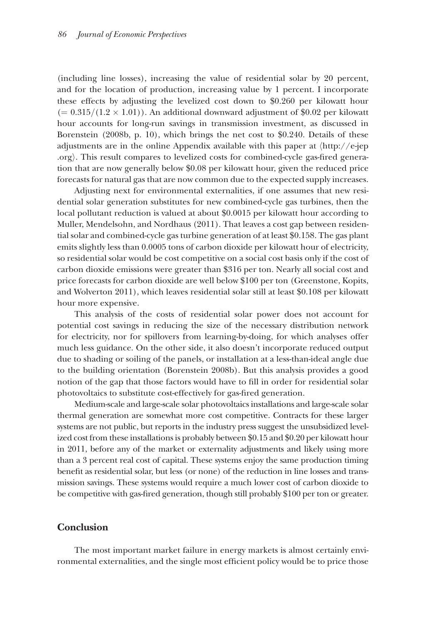(including line losses), increasing the value of residential solar by 20 percent, and for the location of production, increasing value by 1 percent. I incorporate these effects by adjusting the levelized cost down to \$0.260 per kilowatt hour  $(= 0.315/(1.2 \times 1.01))$ . An additional downward adjustment of \$0.02 per kilowatt hour accounts for long-run savings in transmission investment, as discussed in Borenstein (2008b, p. 10), which brings the net cost to \$0.240. Details of these adjustments are in the online Appendix available with this paper at 〈[http://e-jep](http://e-jep.org<27E9>) [.org](http://e-jep.org)). This result compares to levelized costs for combined-cycle gas-fired generation that are now generally below \$0.08 per kilowatt hour, given the reduced price forecasts for natural gas that are now common due to the expected supply increases.

Adjusting next for environmental externalities, if one assumes that new residential solar generation substitutes for new combined-cycle gas turbines, then the local pollutant reduction is valued at about \$0.0015 per kilowatt hour according to Muller, Mendelsohn, and Nordhaus (2011). That leaves a cost gap between residential solar and combined-cycle gas turbine generation of at least \$0.158. The gas plant emits slightly less than 0.0005 tons of carbon dioxide per kilowatt hour of electricity, so residential solar would be cost competitive on a social cost basis only if the cost of carbon dioxide emissions were greater than \$316 per ton. Nearly all social cost and price forecasts for carbon dioxide are well below \$100 per ton (Greenstone, Kopits, and Wolverton 2011), which leaves residential solar still at least \$0.108 per kilowatt hour more expensive.

This analysis of the costs of residential solar power does not account for the potential cost savings in reducing the size of the necessary distribution network for electricity, nor for spillovers from learning-by-doing, for which analyses offer much less guidance. On the other side, it also doesn't incorporate reduced output due to shading or soiling of the panels, or installation at a less-than-ideal angle due to the building orientation (Borenstein 2008b). But this analysis provides a good notion of the gap that those factors would have to fill in order for residential solar photovoltaics to substitute cost-effectively for gas-fired generation.

Medium-scale and large-scale solar photovoltaics installations and large-scale solar thermal generation are somewhat more cost competitive. Contracts for these larger systems are not public, but reports in the industry press suggest the unsubsidized levelized cost from these installations is probably between \$0.15 and \$0.20 per kilowatt hour in 2011, before any of the market or externality adjustments and likely using more than a 3 percent real cost of capital. These systems enjoy the same production timing benefit as residential solar, but less (or none) of the reduction in line losses and transmission savings. These systems would require a much lower cost of carbon dioxide to be competitive with gas-fired generation, though still probably \$100 per ton or greater.

## **Conclusion**

The most important market failure in energy markets is almost certainly environmental externalities, and the single most efficient policy would be to price those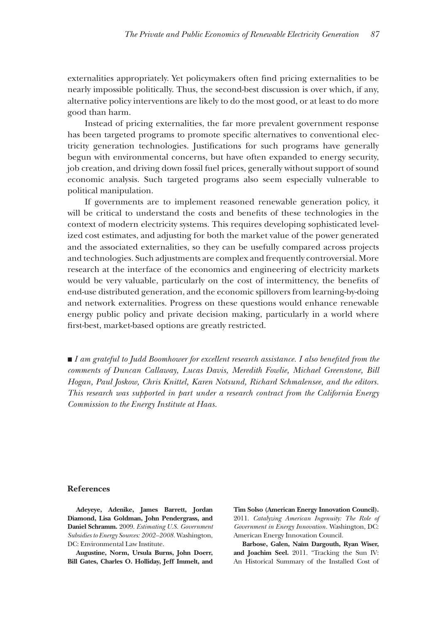externalities appropriately. Yet policymakers often find pricing externalities to be nearly impossible politically. Thus, the second-best discussion is over which, if any, alternative policy interventions are likely to do the most good, or at least to do more good than harm.

Instead of pricing externalities, the far more prevalent government response has been targeted programs to promote specific alternatives to conventional electricity generation technologies. Justifications for such programs have generally begun with environmental concerns, but have often expanded to energy security, job creation, and driving down fossil fuel prices, generally without support of sound economic analysis. Such targeted programs also seem especially vulnerable to political manipulation.

If governments are to implement reasoned renewable generation policy, it will be critical to understand the costs and benefits of these technologies in the context of modern electricity systems. This requires developing sophisticated levelized cost estimates, and adjusting for both the market value of the power generated and the associated externalities, so they can be usefully compared across projects and technologies. Such adjustments are complex and frequently controversial. More research at the interface of the economics and engineering of electricity markets would be very valuable, particularly on the cost of intermittency, the benefits of end-use distributed generation, and the economic spillovers from learning-by-doing and network externalities. Progress on these questions would enhance renewable energy public policy and private decision making, particularly in a world where first-best, market-based options are greatly restricted.

■ *I am grateful to Judd Boomhower for excellent research assistance. I also benefited from the comments of Duncan Callaway, Lucas Davis, Meredith Fowlie, Michael Greenstone, Bill Hogan, Paul Joskow, Chris Knittel, Karen Notsund, Richard Schmalensee, and the editors. This research was supported in part under a research contract from the California Energy Commission to the Energy Institute at Haas.*

#### **References**

**Adeyeye, Adenike, James Barrett, Jordan Diamond, Lisa Goldman, John Pendergrass, and Daniel Schramm.** 2009. *Estimating U.S. Government Subsidies to Energy Sources: 2002–2 008.* Washington, DC: Environmental Law Institute.

**Augustine, Norm, Ursula Burns, John Doerr, Bill Gates, Charles O. Holliday, Jeff Immelt, and** 

**Tim Solso (American Energy Innovation Council).**  2011. *Catalyzing American Ingenuity: The Role of Government in Energy Innovation.* Washington, DC: American Energy Innovation Council.

**Barbose, Galen, Naïm Dargouth, Ryan Wiser, and Joachim Seel.** 2011. "Tracking the Sun IV: An Historical Summary of the Installed Cost of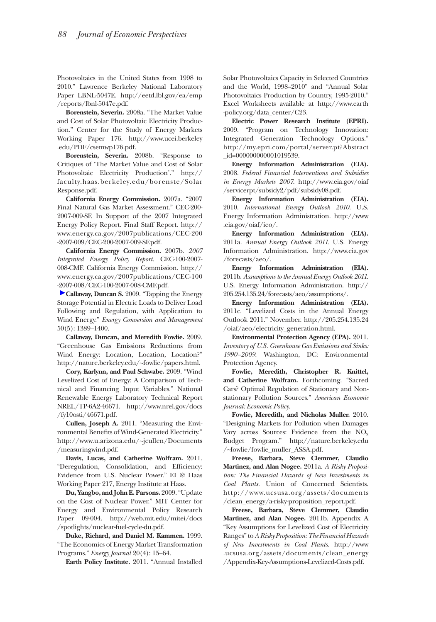Photovoltaics in the United States from 1998 to 2010." Lawrence Berkeley National Laboratory Paper LBNL-5047E. [http://eetd.lbl.gov/ea/emp](http://eetd.lbl.gov/ea/emp/reports/lbnl-5047e.pdf) [/reports/lbnl-5047e.pdf.](http://eetd.lbl.gov/ea/emp/reports/lbnl-5047e.pdf)

**Borenstein, Severin.** 2008a. "The Market Value and Cost of Solar Photovoltaic Electricity Production." Center for the Study of Energy Markets Working Paper 176. [http://www.ucei.berkeley](http://www.ucei.berkeley.edu/PDF/csemwp176.pdf) [.edu/PDF/csemwp176.pdf.](http://www.ucei.berkeley.edu/PDF/csemwp176.pdf)

**Borenstein, Severin.** 2008b. "Response to Critiques of 'The Market Value and Cost of Solar Photovoltaic Electricity Production'." [http://](http://faculty.haas.berkeley.edu/borenste/SolarResponse.pdf) [faculty.haas.berkeley.edu/borenste/Solar](http://faculty.haas.berkeley.edu/borenste/SolarResponse.pdf) [Response.pdf.](http://faculty.haas.berkeley.edu/borenste/SolarResponse.pdf)

**California Energy Commission.** 2007a. "2007 Final Natural Gas Market Assessment." CEC-200- 2007-009-SF. In Support of the 2007 Integrated Energy Policy Report. Final Staff Report. [http://](http://www.energy.ca.gov/2007publications/CEC-200-2007-009/CEC-200-2007-009-SF.pdf) [www.energy.ca.gov/2007publications/CEC-200](http://www.energy.ca.gov/2007publications/CEC-200-2007-009/CEC-200-2007-009-SF.pdf) [-2007-009/CEC-200-2007-009-SF.pdf](http://www.energy.ca.gov/2007publications/CEC-200-2007-009/CEC-200-2007-009-SF.pdf).

**California Energy Commission.** 2007b. *2007 Integrated Energy Policy Report.* CEC-100-2007- 008-CMF. California Energy Commission. [http://](http://www.energy.ca.gov/2007publications/CEC-100-2007-008/CEC-100-2007-008-CMF.pdf) [www.energy.ca.gov/2007publications/CEC-100](http://www.energy.ca.gov/2007publications/CEC-100-2007-008/CEC-100-2007-008-CMF.pdf) [-2007-008/CEC-100-2007-008-CMF.pdf](http://www.energy.ca.gov/2007publications/CEC-100-2007-008/CEC-100-2007-008-CMF.pdf).

**Callaway, Duncan S.** 2009. "Tapping the Energy Storage Potential in Electric Loads to Deliver Load Following and Regulation, with Application to Wind Energy." *Energy Conversion and Management*  50(5): 1389–1400.

**Callaway, Duncan, and Meredith Fowlie.** 2009. "Greenhouse Gas Emissions Reductions from Wind Energy: Location, Location, Location?" [http://nature.berkeley.edu/~fowlie/papers.html.](http://nature.berkeley.edu/~fowlie/papers.html)

**Cory, Karlynn, and Paul Schwabe.** 2009. "Wind Levelized Cost of Energy: A Comparison of Technical and Financing Input Variables." National Renewable Energy Laboratory Technical Report NREL/TP-6A2-46671. [http://www.nrel.gov/docs](http://www.nrel.gov/docs/fy10osti/46671.pdf) [/fy10osti/46671.pdf](http://www.nrel.gov/docs/fy10osti/46671.pdf).

**Cullen, Joseph A.** 2011. "Measuring the Environmental Benefits of Wind-Generated Electricity." [http://www.u.arizona.edu/~jcullen/Documents](http://www.u.arizona.edu/~jcullen/Documents/measuringwind.pdf) [/measuringwind.pdf](http://www.u.arizona.edu/~jcullen/Documents/measuringwind.pdf).

**Davis, Lucas, and Catherine Wolfram.** 2011. "Deregulation, Consolidation, and Efficiency: Evidence from U.S. Nuclear Power." EI @ Haas Working Paper 217, Energy Institute at Haas.

**Du, Yangbo, and John E. Parsons.** 2009. "Update on the Cost of Nuclear Power." MIT Center for Energy and Environmental Policy Research Paper 09-004. [http://web.mit.edu/mitei/docs](http://web.mit.edu/mitei/docs/spotlights/nuclear-fuel-cycle-du.pdf) [/spotlights/nuclear-fuel-cycle-du.pdf](http://web.mit.edu/mitei/docs/spotlights/nuclear-fuel-cycle-du.pdf).

**Duke, Richard, and Daniel M. Kammen.** 1999. "The Economics of Energy Market Transformation Programs." *Energy Journal* 20(4): 15–64.

**Earth Policy Institute.** 2011. "Annual Installed

Solar Photovoltaics Capacity in Selected Countries and the World, 1998–2010" and "Annual Solar Photovoltaics Production by Country, 1995-2010." Excel Worksheets available at [http://www.earth](http://www.earth-policy.org/data_center/C23) [-policy.org/data\\_center/C23.](http://www.earth-policy.org/data_center/C23)

**Electric Power Research Institute (EPRI).**  2009. "Program on Technology Innovation: Integrated Generation Technology Options." [http://my.epri.com/portal/server.pt?Abstract](http://my.epri.com/portal/server.pt?Abstract_id=000000000001019539) [\\_id=000000000001019539](http://my.epri.com/portal/server.pt?Abstract_id=000000000001019539).

**Energy Information Administration (EIA).**  2008. *Federal Financial Interventions and Subsidies in Energy Markets 2007.* [http://www.eia.gov/oiaf](http://www.eia.gov/oiaf/servicerpt/subsidy2/pdf/subsidy08.pdf) [/servicerpt/subsidy2/pdf/subsidy08.pdf.](http://www.eia.gov/oiaf/servicerpt/subsidy2/pdf/subsidy08.pdf)

**Energy Information Administration (EIA).**  2010. *International Energy Outlook 2010.* U.S. Energy Information Administration. [http://www](http://www.eia.gov/oiaf/ieo/) [.eia.gov/oiaf/ieo/](http://www.eia.gov/oiaf/ieo/).

**Energy Information Administration (EIA).**  2011a. *Annual Energy Outlook 2011.* U.S. Energy Information Administration. [http://www.eia.gov](http://www.eia.gov/forecasts/aeo/) [/forecasts/aeo/.](http://www.eia.gov/forecasts/aeo/)

**Energy Information Administration (EIA).**  2011b. *Assumptions to the Annual Energy Outlook 2011.* U.S. Energy Information Administration. [http://](http://205.254.135.24/forecasts/aeo/assumptions/) [205.254.135.24/forecasts/aeo/assumptions/.](http://205.254.135.24/forecasts/aeo/assumptions/)

**Energy Information Administration (EIA).**  2011c. "Levelized Costs in the Annual Energy Outlook 2011." November. [http://205.254.135.24](http://205.254.135.24/oiaf/aeo/electricity_generation.html) [/oiaf/aeo/electricity\\_generation.html.](http://205.254.135.24/oiaf/aeo/electricity_generation.html)

**Environmental Protection Agency (EPA).** 2011. *Inventory of U.S. Greenhouse Gas Emissions and Sinks: 1990–2009.* Washington, DC: Environmental Protection Agency.

**Fowlie, Meredith, Christopher R. Knittel, and Catherine Wolfram.** Forthcoming. "Sacred Cars? Optimal Regulation of Stationary and Nonstationary Pollution Sources." *American Economic Journal: Economic Policy.*

**Fowlie, Meredith, and Nicholas Muller.** 2010. "Designing Markets for Pollution when Damages Vary across Sources: Evidence from the  $NO<sub>x</sub>$ Budget Program." [http://nature.berkeley.edu](http://nature.berkeley.edu/~fowlie/fowlie_muller_ASSA.pdf) [/~fowlie/fowlie\\_muller\\_ASSA.pdf.](http://nature.berkeley.edu/~fowlie/fowlie_muller_ASSA.pdf)

**Freese, Barbara, Steve Clemmer, Claudio Martinez, and Alan Nogee.** 2011a. *A Risky Proposition: The Financial Hazards of New Investments in Coal Plants.* Union of Concerned Scientists. [http://www.ucsusa.org/assets/documents](http://www.ucsusa.org/assets/documents/clean_energy/a-risky-proposition_report.pdf) [/clean\\_energy/a-risky-proposition\\_report.pdf](http://www.ucsusa.org/assets/documents/clean_energy/a-risky-proposition_report.pdf).

**Freese, Barbara, Steve Clemmer, Claudio Martinez, and Alan Nogee.** 2011b. Appendix A "Key Assumptions for Levelized Cost of Electricity Ranges" to *A Risky Proposition: The Financial Hazards of New Investments in Coal Plants.* [http://www](http://www.ucsusa.org/assets/documents/clean_energy/Appendix-Key-Assumptions-Levelized-Costs.pdf) [.ucsusa.org/assets/documents/clean\\_energy](http://www.ucsusa.org/assets/documents/clean_energy/Appendix-Key-Assumptions-Levelized-Costs.pdf) [/Appendix-Key-Assumptions-Levelized-Costs.pdf](http://www.ucsusa.org/assets/documents/clean_energy/Appendix-Key-Assumptions-Levelized-Costs.pdf).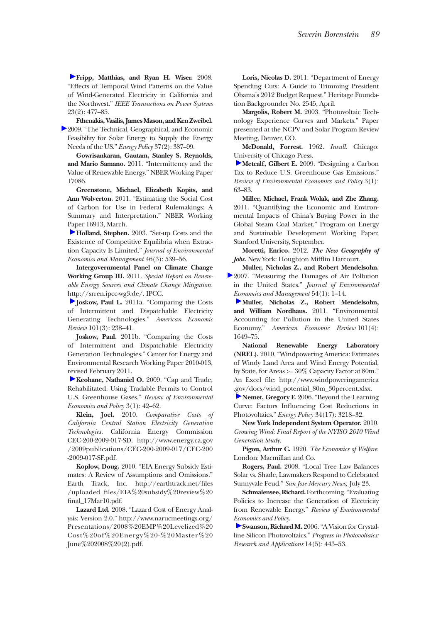**Fripp, Matthias, and Ryan H. Wiser.** 2008. "Effects of Temporal Wind Patterns on the Value of Wind-Generated Electricity in California and the Northwest." *IEEE Transactions on Power Systems* 23(2): 477–85.

**Fthenakis, Vasilis, James Mason, and Ken Zweibel.**  2009. "The Technical, Geographical, and Economic Feasibility for Solar Energy to Supply the Energy Needs of the US." *Energy Policy* 37(2): 387–99.

**Gowrisankaran, Gautam, Stanley S. Reynolds, and Mario Samano.** 2011. "Intermittency and the Value of Renewable Energy." NBER Working Paper 17086.

**Greenstone, Michael, Elizabeth Kopits, and Ann Wolverton.** 2011. "Estimating the Social Cost of Carbon for Use in Federal Rulemakings: A Summary and Interpretation." NBER Working Paper 16913, March.

**Holland, Stephen.** 2003. "Set-up Costs and the Existence of Competitive Equilibria when Extraction Capacity Is Limited." *Journal of Environmental Economics and Management* 46(3): 539–56.

**Intergovernmental Panel on Climate Change Working Group III.** 2011. *Special Report on Renewable Energy Sources and Climate Change Mitigation.* <http://srren.ipcc-wg3.de/>. IPCC.

**Joskow, Paul L.** 2011a. "Comparing the Costs of Intermittent and Dispatchable Electricity Generating Technologies." *American Economic Review* 101(3): 238–41.

**Joskow, Paul.** 2011b. "Comparing the Costs of Intermittent and Dispatchable Electricity Generation Technologies." Center for Energy and Environmental Research Working Paper 2010-013, revised February 2011.

**Keohane, Nathaniel O.** 2009. "Cap and Trade, Rehabilitated: Using Tradable Permits to Control U.S. Greenhouse Gases." *Review of Environmental Economics and Policy* 3(1): 42–62.

**Klein, Joel.** 2010. *Comparative Costs of California Central Station Electricity Generation Technologies.* California Energy Commission CEC-200-2009-017-SD. [http://www.energy.ca.gov](http://www.energy.ca.gov/2009publications/CEC-200-2009-017/CEC-200-2009-017-SF.pdf) [/2009publications/CEC-200-2009-017/CEC-200](http://www.energy.ca.gov/2009publications/CEC-200-2009-017/CEC-200-2009-017-SF.pdf) [-2009-017-SF.pdf](http://www.energy.ca.gov/2009publications/CEC-200-2009-017/CEC-200-2009-017-SF.pdf).

**Koplow, Doug.** 2010. "EIA Energy Subsidy Estimates: A Review of Assumptions and Omissions." Earth Track, Inc. http://earthtrack.net/files [/uploaded\\_files/EIA%20subsidy%20review%20](http://earthtrack.net/files/uploaded_files/EIA%20subsidy%20review%20final_17Mar10.pdf) final\_17Mar10.pdf.

**Lazard Ltd.** 2008. "Lazard Cost of Energy Analysis: Version 2.0." [http://www.narucmeetings.org/](http://www.narucmeetings.org/Presentations/2008%20EMP%20Levelized%20Cost%20of%20Energy%20-%20Master%20June%202008%20(2).pdf) [Presentations/2008%20EMP%20Levelized%20](http://www.narucmeetings.org/Presentations/2008%20EMP%20Levelized%20Cost%20of%20Energy%20-%20Master%20June%202008%20(2).pdf) [Cost%20of%20Energy%20-%20Master%20](http://www.narucmeetings.org/Presentations/2008%20EMP%20Levelized%20Cost%20of%20Energy%20-%20Master%20June%202008%20(2).pdf) [June%202008%20\(2\).pdf.](http://www.narucmeetings.org/Presentations/2008%20EMP%20Levelized%20Cost%20of%20Energy%20-%20Master%20June%202008%20(2).pdf)

**Loris, Nicolas D.** 2011. "Department of Energy Spending Cuts: A Guide to Trimming President Obama's 2012 Budget Request." Heritage Foundation Backgrounder No. 2545, April.

**Margolis, Robert M.** 2003. "Photovoltaic Technology Experience Curves and Markets." Paper presented at the NCPV and Solar Program Review Meeting, Denver, CO.

**McDonald, Forrest.** 1962. *Insull.* Chicago: University of Chicago Press.

**Metcalf, Gilbert E.** 2009. "Designing a Carbon Tax to Reduce U.S. Greenhouse Gas Emissions." *Review of Environmental Economics and Policy* 3(1): 63–83.

**Miller, Michael, Frank Wolak, and Zhe Zhang.**  2011. "Quantifying the Economic and Environmental Impacts of China's Buying Power in the Global Steam Coal Market." Program on Energy and Sustainable Development Working Paper, Stanford University, September.

**Moretti, Enrico.** 2012. *The New Geography of Jobs.* New York: Houghton Mifflin Harcourt.

**Muller, Nicholas Z., and Robert Mendelsohn.**  2007. "Measuring the Damages of Air Pollution in the United States." *Journal of Environmental Economics and Management* 54(1): 1–14.

**Muller, Nicholas Z., Robert Mendelsohn, and William Nordhaus.** 2011. "Environmental Accounting for Pollution in the United States Economy." *American Economic Review* 101(4): 1649–75.

**National Renewable Energy Laboratory (NREL).** 2010. "Windpowering America: Estimates of Windy Land Area and Wind Energy Potential, by State, for Areas >= 30% Capacity Factor at 80m." An Excel file: [http://www.windpoweringamerica](http://www.windpoweringamerica.gov/docs/wind_potential_80m_30percent.xlsx) [.gov/docs/wind\\_potential\\_80m\\_30percent.xlsx](http://www.windpoweringamerica.gov/docs/wind_potential_80m_30percent.xlsx).

**Nemet, Gregory F.** 2006. "Beyond the Learning Curve: Factors Influencing Cost Reductions in Photovoltaics." *Energy Policy* 34(17): 3218–32.

**New York Independent System Operator.** 2010. *Growing Wind: Final Report of the NYISO 2010 Wind Generation Study.*

**Pigou, Arthur C.** 1920. *The Economics of Welfare*. London: Macmillan and Co.

**Rogers, Paul.** 2008. "Local Tree Law Balances Solar vs. Shade, Lawmakers Respond to Celebrated Sunnyvale Feud." *San Jose Mercury News,* July 23.

**Schmalensee, Richard.** Forthcoming. "Evaluating Policies to Increase the Generation of Electricity from Renewable Energy." *Review of Environmental Economics and Policy*.

**Swanson, Richard M.** 2006. "A Vision for Crystalline Silicon Photovoltaics." *Progress in Photovoltaics: Research and Applications* 14(5): 443–53.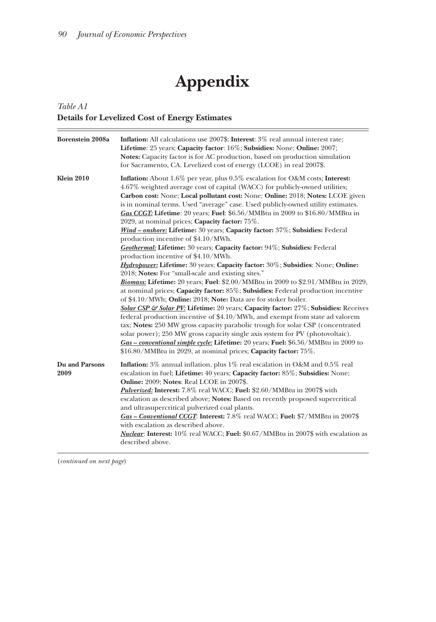$\equiv$ 

# **Appendix**

# *Table A1* **Details for Levelized Cost of Energy Estimates**

| Borenstein 2008a       | Inflation: All calculations use 2007\$; Interest: 3% real annual interest rate;<br>Lifetime: 25 years; Capacity factor: 16%; Subsidies: None; Online: 2007;<br><b>Notes:</b> Capacity factor is for AC production, based on production simulation<br>for Sacramento, CA. Levelized cost of energy (LCOE) in real 2007\$.                                                                                                                                                                                                                                                                                                                                                                                                                                                                                                                                                          |  |  |  |  |
|------------------------|-----------------------------------------------------------------------------------------------------------------------------------------------------------------------------------------------------------------------------------------------------------------------------------------------------------------------------------------------------------------------------------------------------------------------------------------------------------------------------------------------------------------------------------------------------------------------------------------------------------------------------------------------------------------------------------------------------------------------------------------------------------------------------------------------------------------------------------------------------------------------------------|--|--|--|--|
| <b>Klein 2010</b>      | Inflation: About 1.6% per year, plus 0.5% escalation for O&M costs; Interest:<br>4.67% weighted average cost of capital (WACC) for publicly-owned utilities;<br>Carbon cost: None; Local pollutant cost: None; Online: 2018; Notes: LCOE given<br>is in nominal terms. Used "average" case. Used publicly-owned utility estimates.<br>Gas CCGT: Lifetime: 20 years; Fuel: \$6.56/MMBtu in 2009 to \$16.80/MMBtu in<br>2029, at nominal prices; Capacity factor: 75%.<br>Wind - onshore: Lifetime: 30 years; Capacity factor: 37%; Subsidies: Federal<br>production incentive of \$4.10/MWh.                                                                                                                                                                                                                                                                                       |  |  |  |  |
|                        | Geothermal: Lifetime: 30 years; Capacity factor: 94%; Subsidies: Federal<br>production incentive of \$4.10/MWh.                                                                                                                                                                                                                                                                                                                                                                                                                                                                                                                                                                                                                                                                                                                                                                   |  |  |  |  |
|                        | Hydropower: Lifetime: 30 years; Capacity factor: 30%; Subsidies: None; Online:<br>2018; Notes: For "small-scale and existing sites."<br>Biomass: Lifetime: 20 years; Fuel: \$2.00/MMBtu in 2009 to \$2.91/MMBtu in 2029,<br>at nominal prices; Capacity factor: 85%; Subsidies: Federal production incentive<br>of \$4.10/MWh; Online: 2018; Note: Data are for stoker boiler.<br>Solar CSP & Solar PV: Lifetime: 20 years; Capacity factor: 27%; Subsidies: Receives<br>federal production incentive of \$4.10/MWh, and exempt from state ad valorem<br>tax; Notes: 250 MW gross capacity parabolic trough for solar CSP (concentrated<br>solar power); 250 MW gross capacity single axis system for PV (photovoltaic).<br>Gas - conventional simple cycle: Lifetime: 20 years; Fuel: \$6.56/MMBtu in 2009 to<br>\$16.80/MMBtu in 2029, at nominal prices; Capacity factor: 75%. |  |  |  |  |
| Du and Parsons<br>2009 | <b>Inflation:</b> $3\%$ annual inflation, plus $1\%$ real escalation in O&M and $0.5\%$ real<br>escalation in fuel; Lifetime: 40 years; Capacity factor: 85%; Subsidies: None;<br>Online: 2009; Notes: Real LCOE in 2007\$.<br>Pulverized: Interest: 7.8% real WACC; Fuel: \$2.60/MMBtu in 2007\$ with<br>escalation as described above; Notes: Based on recently proposed supercritical<br>and ultrasupercritical pulverized coal plants.<br>Gas - Conventional CCGT: Interest: 7.8% real WACC; Fuel: \$7/MMBtu in 2007\$<br>with escalation as described above.<br><i>Nuclear</i> : Interest: 10% real WACC; Fuel: \$0.67/MMBtu in 2007\$ with escalation as<br>described above.                                                                                                                                                                                                |  |  |  |  |

(*continued on next page*)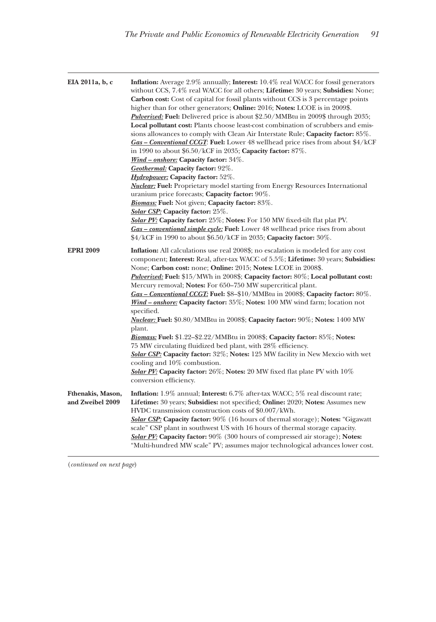| EIA 2011a, b, c                       | <b>Inflation:</b> Average 2.9% annually; <b>Interest:</b> 10.4% real WACC for fossil generators<br>without CCS, 7.4% real WACC for all others; Lifetime: 30 years; Subsidies: None;<br><b>Carbon cost:</b> Cost of capital for fossil plants without CCS is 3 percentage points<br>higher than for other generators; <b>Online:</b> 2016; <b>Notes:</b> LCOE is in 2009\$.<br><b>Pulverized: Fuel:</b> Delivered price is about \$2.50/MMBtu in 2009\$ through 2035;<br>Local pollutant cost: Plants choose least-cost combination of scrubbers and emis-<br>sions allowances to comply with Clean Air Interstate Rule; Capacity factor: 85%.<br>$Gas - Conventional CCG$ : Fuel: Lower 48 wellhead price rises from about \$4/kCF<br>in 1990 to about \$6.50/kCF in 2035; Capacity factor: 87%.<br>Wind - onshore: Capacity factor: 34%.<br>Geothermal: Capacity factor: 92%.<br><b>Hydropower:</b> Capacity factor: 52%.<br><b>Nuclear:</b> Fuel: Proprietary model starting from Energy Resources International<br>uranium price forecasts; Capacity factor: 90%.<br><b>Biomass:</b> Fuel: Not given; Capacity factor: 83%.<br><b>Solar CSP:</b> Capacity factor: 25%.<br>Solar PV: Capacity factor: 25%; Notes: For 150 MW fixed-tilt flat plat PV.<br><b>Gas – conventional simple cycle: Fuel:</b> Lower 48 wellhead price rises from about<br>$4/kCF$ in 1990 to about \$6.50/kCF in 2035; Capacity factor: 30%. |
|---------------------------------------|-------------------------------------------------------------------------------------------------------------------------------------------------------------------------------------------------------------------------------------------------------------------------------------------------------------------------------------------------------------------------------------------------------------------------------------------------------------------------------------------------------------------------------------------------------------------------------------------------------------------------------------------------------------------------------------------------------------------------------------------------------------------------------------------------------------------------------------------------------------------------------------------------------------------------------------------------------------------------------------------------------------------------------------------------------------------------------------------------------------------------------------------------------------------------------------------------------------------------------------------------------------------------------------------------------------------------------------------------------------------------------------------------------------------------|
| <b>EPRI 2009</b>                      | <b>Inflation:</b> All calculations use real 2008\$; no escalation is modeled for any cost<br>component; Interest: Real, after-tax WACC of 5.5%; Lifetime: 30 years; Subsidies:<br>None; Carbon cost: none; Online: 2015; Notes: LCOE in 2008\$.<br><i>Pulverized:</i> Fuel: \$15/MWh in 2008\$; Capacity factor: 80%; Local pollutant cost:<br>Mercury removal; Notes: For 650–750 MW supercritical plant.<br>$Gas - Conventional CCG$ : Fuel: \$8-\$10/MMBtu in 2008\$; Capacity factor: 80%.<br><i>Wind – onshore:</i> Capacity factor: 35%; Notes: 100 MW wind farm; location not<br>specified.<br><i>Nuclear:</i> Fuel: \$0.80/MMBtu in 2008\$; Capacity factor: 90%; Notes: 1400 MW<br>plant.<br>Biomass: Fuel: \$1.22-\$2.22/MMBtu in 2008\$; Capacity factor: 85%; Notes:<br>75 MW circulating fluidized bed plant, with 28% efficiency.<br>Solar CSP: Capacity factor: 32%; Notes: 125 MW facility in New Mexcio with wet<br>cooling and $10\%$ combustion.<br><b>Solar PV:</b> Capacity factor: $26\%$ ; Notes: 20 MW fixed flat plate PV with $10\%$<br>conversion efficiency.                                                                                                                                                                                                                                                                                                                                |
| Fthenakis, Mason,<br>and Zweibel 2009 | Inflation: 1.9% annual; Interest: 6.7% after-tax WACC; 5% real discount rate;<br>Lifetime: 30 years; Subsidies: not specified; Online: 2020; Notes: Assumes new<br>HVDC transmission construction costs of \$0.007/kWh.<br><b>Solar CSP:</b> Capacity factor: 90% (16 hours of thermal storage); Notes: "Gigawatt<br>scale" CSP plant in southwest US with 16 hours of thermal storage capacity.<br>Solar PV: Capacity factor: 90% (300 hours of compressed air storage); Notes:<br>"Multi-hundred MW scale" PV; assumes major technological advances lower cost.                                                                                                                                                                                                                                                                                                                                                                                                                                                                                                                                                                                                                                                                                                                                                                                                                                                       |

(*continued on next page*)